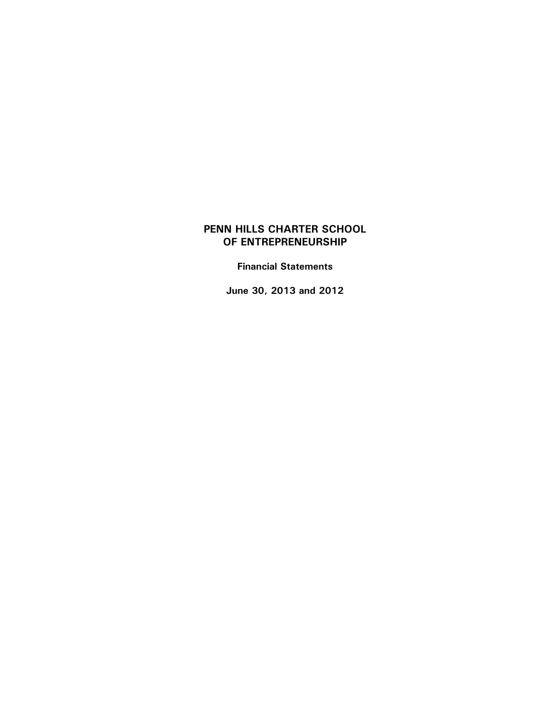**Financial Statements** 

**June 30, 2013 and 2012**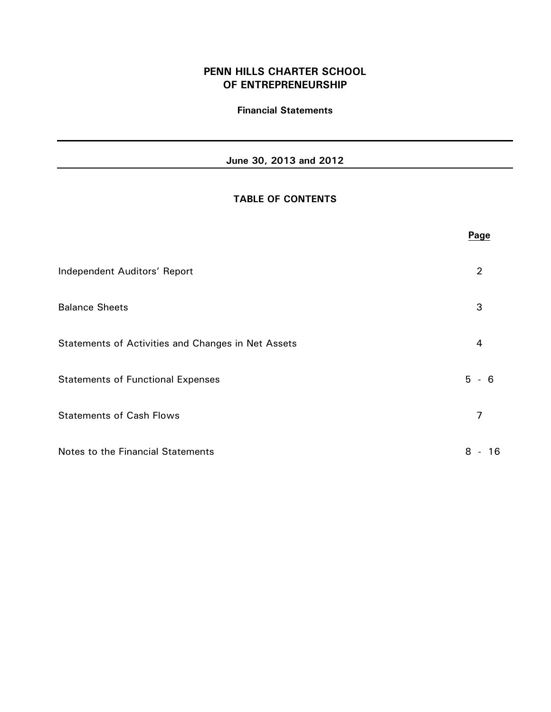## **Financial Statements**

# **June 30, 2013 and 2012**

## **TABLE OF CONTENTS**

|                                                    |   | Page           |
|----------------------------------------------------|---|----------------|
| Independent Auditors' Report                       |   | $\overline{2}$ |
| <b>Balance Sheets</b>                              |   | 3              |
| Statements of Activities and Changes in Net Assets | 4 |                |
| <b>Statements of Functional Expenses</b>           |   | $5 - 6$        |
| <b>Statements of Cash Flows</b>                    |   | 7              |
| Notes to the Financial Statements                  | 8 | 16             |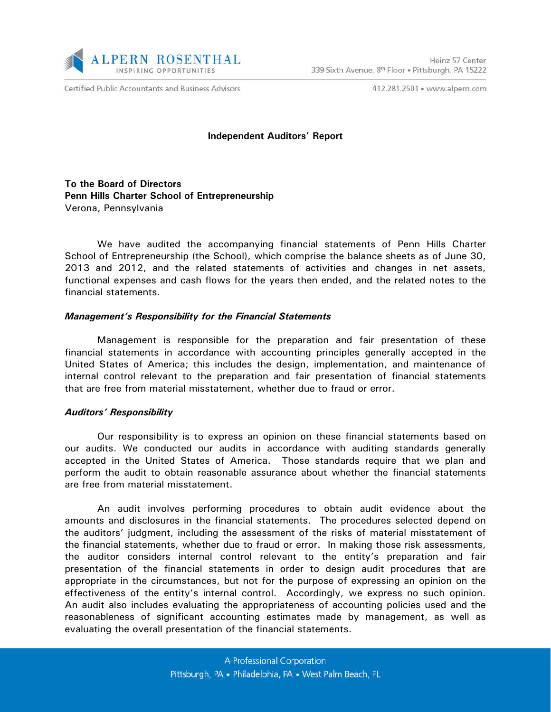

Certified Public Accountants and Business Advisors

412.281.2501 · www.alpern.com

### **Independent Auditors' Report**

**To the Board of Directors Penn Hills Charter School of Entrepreneurship** Verona, Pennsylvania

We have audited the accompanying financial statements of Penn Hills Charter School of Entrepreneurship (the School), which comprise the balance sheets as of June 30, 2013 and 2012, and the related statements of activities and changes in net assets, functional expenses and cash flows for the years then ended, and the related notes to the financial statements.

#### *Management's Responsibility for the Financial Statements*

Management is responsible for the preparation and fair presentation of these financial statements in accordance with accounting principles generally accepted in the United States of America; this includes the design, implementation, and maintenance of internal control relevant to the preparation and fair presentation of financial statements that are free from material misstatement, whether due to fraud or error.

### *Auditors' Responsibility*

Our responsibility is to express an opinion on these financial statements based on our audits. We conducted our audits in accordance with auditing standards generally accepted in the United States of America. Those standards require that we plan and perform the audit to obtain reasonable assurance about whether the financial statements are free from material misstatement.

An audit involves performing procedures to obtain audit evidence about the amounts and disclosures in the financial statements. The procedures selected depend on the auditors' judgment, including the assessment of the risks of material misstatement of the financial statements, whether due to fraud or error. In making those risk assessments, the auditor considers internal control relevant to the entity's preparation and fair presentation of the financial statements in order to design audit procedures that are appropriate in the circumstances, but not for the purpose of expressing an opinion on the effectiveness of the entity's internal control. Accordingly, we express no such opinion. An audit also includes evaluating the appropriateness of accounting policies used and the reasonableness of significant accounting estimates made by management, as well as evaluating the overall presentation of the financial statements.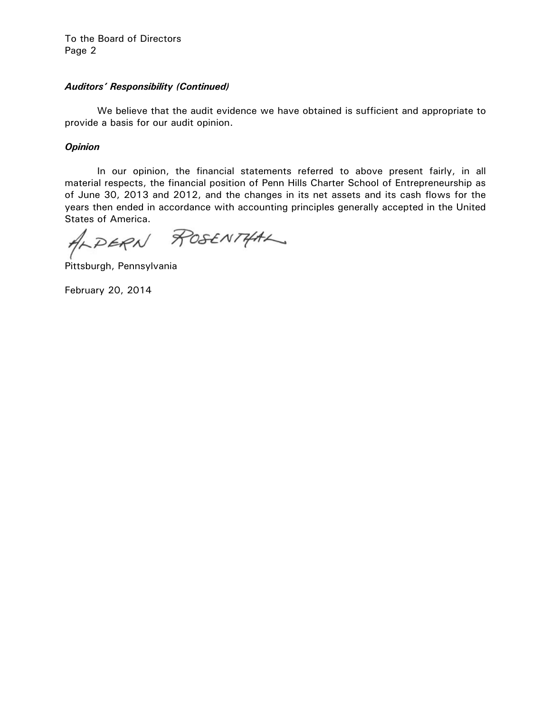To the Board of Directors Page 2

#### *Auditors' Responsibility (Continued)*

We believe that the audit evidence we have obtained is sufficient and appropriate to provide a basis for our audit opinion.

#### *Opinion*

In our opinion, the financial statements referred to above present fairly, in all material respects, the financial position of Penn Hills Charter School of Entrepreneurship as of June 30, 2013 and 2012, and the changes in its net assets and its cash flows for the years then ended in accordance with accounting principles generally accepted in the United States of America.

ALDERN ROSENTHAL

Pittsburgh, Pennsylvania

February 20, 2014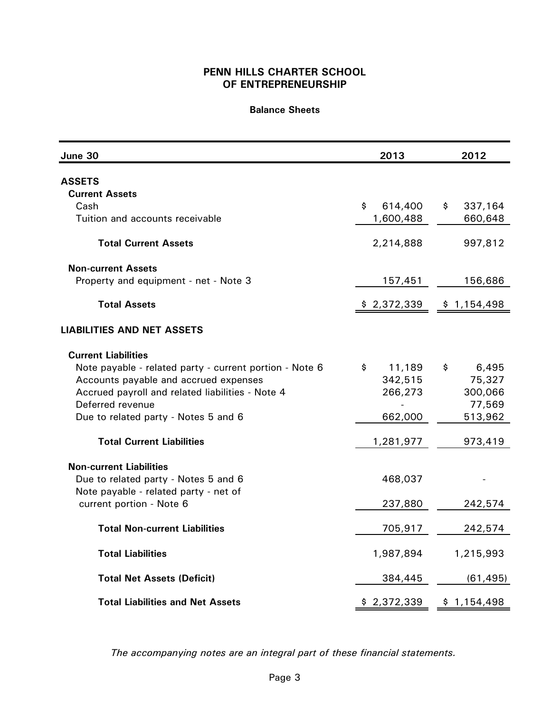### **Balance Sheets**

| June 30                                                 | 2013          | 2012          |
|---------------------------------------------------------|---------------|---------------|
| <b>ASSETS</b>                                           |               |               |
| <b>Current Assets</b>                                   |               |               |
| Cash                                                    | 614,400<br>\$ | \$<br>337,164 |
| Tuition and accounts receivable                         | 1,600,488     | 660,648       |
| <b>Total Current Assets</b>                             | 2,214,888     | 997,812       |
| <b>Non-current Assets</b>                               |               |               |
| Property and equipment - net - Note 3                   | 157,451       | 156,686       |
| <b>Total Assets</b>                                     | \$2,372,339   | \$1,154,498   |
| <b>LIABILITIES AND NET ASSETS</b>                       |               |               |
| <b>Current Liabilities</b>                              |               |               |
| Note payable - related party - current portion - Note 6 | 11,189<br>\$  | 6,495<br>\$   |
| Accounts payable and accrued expenses                   | 342,515       | 75,327        |
| Accrued payroll and related liabilities - Note 4        | 266,273       | 300,066       |
| Deferred revenue                                        |               | 77,569        |
| Due to related party - Notes 5 and 6                    | 662,000       | 513,962       |
| <b>Total Current Liabilities</b>                        | 1,281,977     | 973,419       |
| <b>Non-current Liabilities</b>                          |               |               |
| Due to related party - Notes 5 and 6                    | 468,037       |               |
| Note payable - related party - net of                   |               |               |
| current portion - Note 6                                | 237,880       | 242,574       |
| <b>Total Non-current Liabilities</b>                    | 705,917       | 242,574       |
| <b>Total Liabilities</b>                                | 1,987,894     | 1,215,993     |
| <b>Total Net Assets (Deficit)</b>                       | 384,445       | (61, 495)     |
| <b>Total Liabilities and Net Assets</b>                 | \$2,372,339   | \$1,154,498   |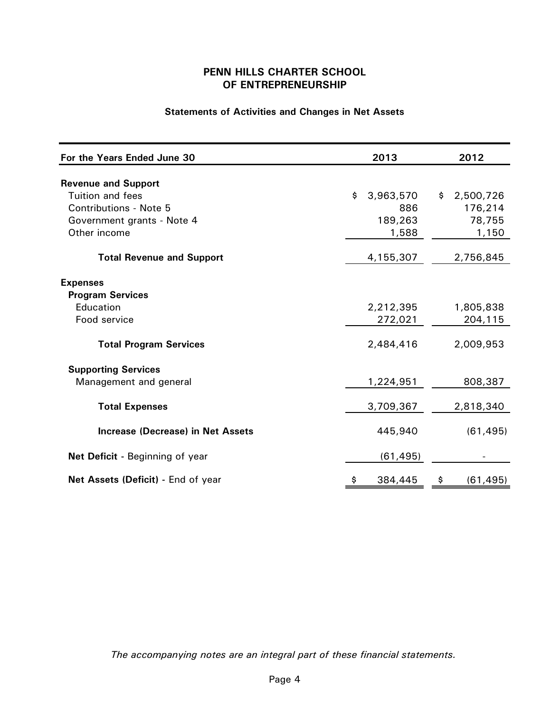## **Statements of Activities and Changes in Net Assets**

| For the Years Ended June 30                           | 2013          | 2012            |
|-------------------------------------------------------|---------------|-----------------|
|                                                       |               |                 |
| <b>Revenue and Support</b><br><b>Tuition and fees</b> | \$            |                 |
|                                                       | 3,963,570     | \$2,500,726     |
| <b>Contributions - Note 5</b>                         | 886           | 176,214         |
| Government grants - Note 4                            | 189,263       | 78,755          |
| Other income                                          | 1,588         | 1,150           |
| <b>Total Revenue and Support</b>                      | 4,155,307     | 2,756,845       |
| <b>Expenses</b>                                       |               |                 |
| <b>Program Services</b>                               |               |                 |
| Education                                             | 2,212,395     | 1,805,838       |
| Food service                                          | 272,021       | 204,115         |
| <b>Total Program Services</b>                         | 2,484,416     | 2,009,953       |
| <b>Supporting Services</b>                            |               |                 |
| Management and general                                | 1,224,951     | 808,387         |
| <b>Total Expenses</b>                                 | 3,709,367     | 2,818,340       |
| <b>Increase (Decrease) in Net Assets</b>              | 445,940       | (61, 495)       |
| Net Deficit - Beginning of year                       | (61, 495)     |                 |
| Net Assets (Deficit) - End of year                    | 384,445<br>\$ | (61, 495)<br>\$ |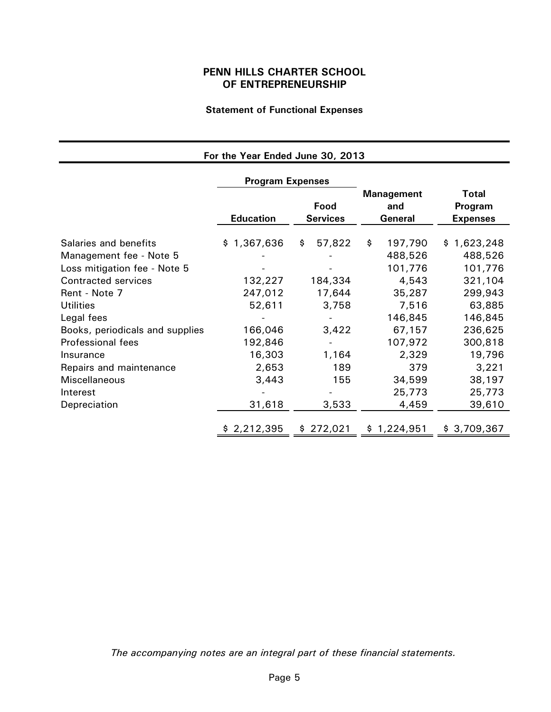## **Statement of Functional Expenses**

| For the Year Ended June 30, 2013                                                                                                                                                                                                                                                                      |                                                                                               |                                                                            |                                                                                                                                     |                                                                                                                                           |                                            |                                            |
|-------------------------------------------------------------------------------------------------------------------------------------------------------------------------------------------------------------------------------------------------------------------------------------------------------|-----------------------------------------------------------------------------------------------|----------------------------------------------------------------------------|-------------------------------------------------------------------------------------------------------------------------------------|-------------------------------------------------------------------------------------------------------------------------------------------|--------------------------------------------|--------------------------------------------|
| <b>Program Expenses</b>                                                                                                                                                                                                                                                                               |                                                                                               |                                                                            |                                                                                                                                     |                                                                                                                                           |                                            |                                            |
|                                                                                                                                                                                                                                                                                                       | Food<br><b>Education</b><br><b>Services</b>                                                   |                                                                            |                                                                                                                                     |                                                                                                                                           | <b>Management</b><br>and<br><b>General</b> | <b>Total</b><br>Program<br><b>Expenses</b> |
| Salaries and benefits<br>Management fee - Note 5<br>Loss mitigation fee - Note 5<br><b>Contracted services</b><br>Rent - Note 7<br><b>Utilities</b><br>Legal fees<br>Books, periodicals and supplies<br><b>Professional fees</b><br>Insurance<br>Repairs and maintenance<br>Miscellaneous<br>Interest | \$1,367,636<br>132,227<br>247,012<br>52,611<br>166,046<br>192,846<br>16,303<br>2,653<br>3,443 | 57,822<br>\$<br>184,334<br>17,644<br>3,758<br>3,422<br>1,164<br>189<br>155 | 197,790<br>\$<br>488,526<br>101,776<br>4,543<br>35,287<br>7,516<br>146,845<br>67,157<br>107,972<br>2,329<br>379<br>34,599<br>25,773 | \$1,623,248<br>488,526<br>101,776<br>321,104<br>299,943<br>63,885<br>146,845<br>236,625<br>300,818<br>19,796<br>3,221<br>38,197<br>25,773 |                                            |                                            |
| Depreciation                                                                                                                                                                                                                                                                                          | 31,618                                                                                        | 3,533                                                                      | 4,459                                                                                                                               | 39,610                                                                                                                                    |                                            |                                            |
|                                                                                                                                                                                                                                                                                                       | \$2,212,395                                                                                   | \$272,021                                                                  | \$1,224,951                                                                                                                         | \$3,709,367                                                                                                                               |                                            |                                            |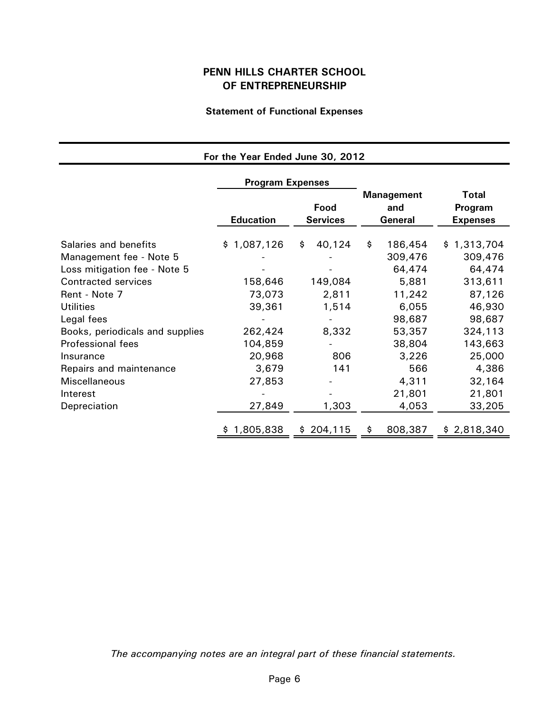## **Statement of Functional Expenses**

| For the Year Ended June 30, 2012                            |                                             |                |                           |                            |                                            |                                            |
|-------------------------------------------------------------|---------------------------------------------|----------------|---------------------------|----------------------------|--------------------------------------------|--------------------------------------------|
| <b>Program Expenses</b>                                     |                                             |                |                           |                            |                                            |                                            |
|                                                             | Food<br><b>Education</b><br><b>Services</b> |                |                           |                            | <b>Management</b><br>and<br><b>General</b> | <b>Total</b><br>Program<br><b>Expenses</b> |
| Salaries and benefits<br>Management fee - Note 5            | \$1,087,126                                 | \$<br>40,124   | 186,454<br>\$<br>309,476  | \$1,313,704<br>309,476     |                                            |                                            |
| Loss mitigation fee - Note 5<br>Contracted services         | 158,646                                     | 149,084        | 64,474<br>5,881           | 64,474<br>313,611          |                                            |                                            |
| Rent - Note 7<br><b>Utilities</b><br>Legal fees             | 73,073<br>39,361                            | 2,811<br>1,514 | 11,242<br>6,055<br>98,687 | 87,126<br>46,930<br>98,687 |                                            |                                            |
| Books, periodicals and supplies<br><b>Professional fees</b> | 262,424<br>104,859                          | 8,332          | 53,357<br>38,804          | 324,113<br>143,663         |                                            |                                            |
| Insurance<br>Repairs and maintenance                        | 20,968<br>3,679                             | 806<br>141     | 3,226<br>566              | 25,000<br>4,386            |                                            |                                            |
| Miscellaneous<br>Interest                                   | 27,853                                      |                | 4,311<br>21,801           | 32,164<br>21,801           |                                            |                                            |
| Depreciation                                                | 27,849                                      | 1,303          | 4,053                     | 33,205                     |                                            |                                            |
|                                                             | 1,805,838<br>Ş                              | 204,115<br>\$  | 808,387<br>\$             | \$2,818,340                |                                            |                                            |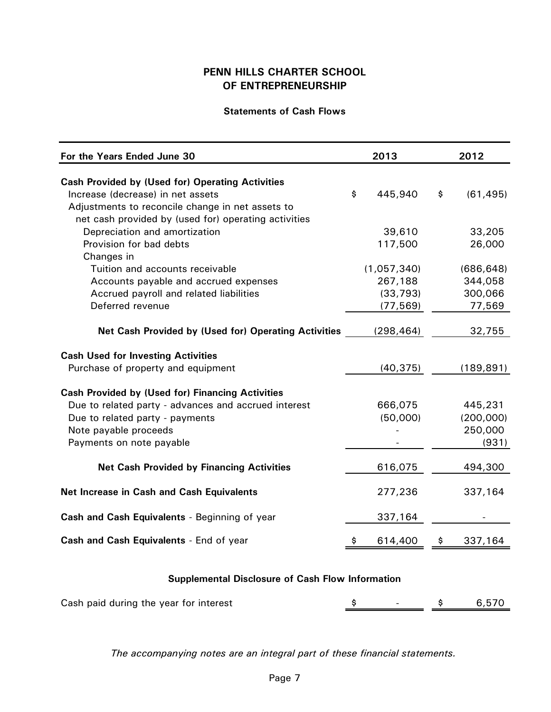## **Statements of Cash Flows**

| For the Years Ended June 30                                                                                                                                                                             | 2013                                             |    | 2012                                       |
|---------------------------------------------------------------------------------------------------------------------------------------------------------------------------------------------------------|--------------------------------------------------|----|--------------------------------------------|
| <b>Cash Provided by (Used for) Operating Activities</b><br>Increase (decrease) in net assets<br>Adjustments to reconcile change in net assets to                                                        | \$<br>445,940                                    | \$ | (61, 495)                                  |
| net cash provided by (used for) operating activities<br>Depreciation and amortization<br>Provision for bad debts<br>Changes in                                                                          | 39,610<br>117,500                                |    | 33,205<br>26,000                           |
| Tuition and accounts receivable<br>Accounts payable and accrued expenses<br>Accrued payroll and related liabilities<br>Deferred revenue                                                                 | (1,057,340)<br>267,188<br>(33, 793)<br>(77, 569) |    | (686, 648)<br>344,058<br>300,066<br>77,569 |
| Net Cash Provided by (Used for) Operating Activities                                                                                                                                                    | (298, 464)                                       |    | 32,755                                     |
| <b>Cash Used for Investing Activities</b><br>Purchase of property and equipment                                                                                                                         | (40, 375)                                        |    | (189, 891)                                 |
| <b>Cash Provided by (Used for) Financing Activities</b><br>Due to related party - advances and accrued interest<br>Due to related party - payments<br>Note payable proceeds<br>Payments on note payable | 666,075<br>(50,000)                              |    | 445,231<br>(200,000)<br>250,000<br>(931)   |
| <b>Net Cash Provided by Financing Activities</b>                                                                                                                                                        | 616,075                                          |    | 494,300                                    |
| Net Increase in Cash and Cash Equivalents                                                                                                                                                               | 277,236                                          |    | 337,164                                    |
| Cash and Cash Equivalents - Beginning of year                                                                                                                                                           | 337,164                                          |    |                                            |
| Cash and Cash Equivalents - End of year                                                                                                                                                                 | 614,400                                          | Ş  | 337,164                                    |

## **Supplemental Disclosure of Cash Flow Information**

| Cash paid during the year for interest |  | 6,570 |
|----------------------------------------|--|-------|
|                                        |  |       |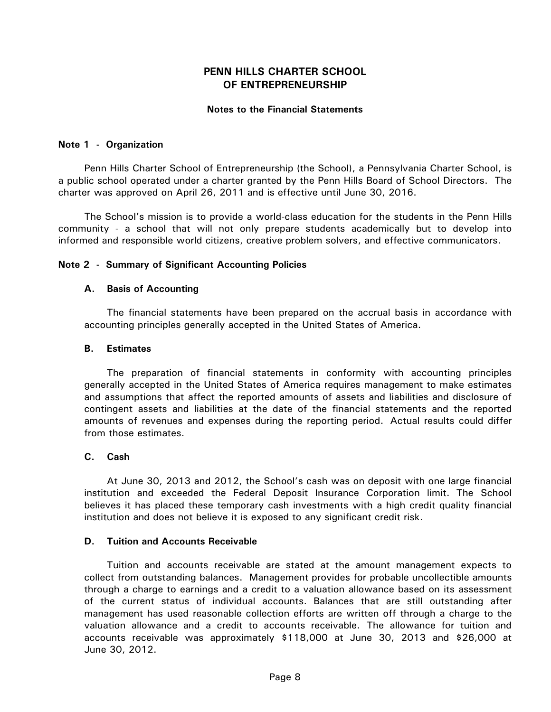### **Notes to the Financial Statements**

#### **Note 1 - Organization**

Penn Hills Charter School of Entrepreneurship (the School), a Pennsylvania Charter School, is a public school operated under a charter granted by the Penn Hills Board of School Directors. The charter was approved on April 26, 2011 and is effective until June 30, 2016.

The School's mission is to provide a world-class education for the students in the Penn Hills community - a school that will not only prepare students academically but to develop into informed and responsible world citizens, creative problem solvers, and effective communicators.

#### **Note 2 - Summary of Significant Accounting Policies**

#### **A. Basis of Accounting**

The financial statements have been prepared on the accrual basis in accordance with accounting principles generally accepted in the United States of America.

#### **B. Estimates**

The preparation of financial statements in conformity with accounting principles generally accepted in the United States of America requires management to make estimates and assumptions that affect the reported amounts of assets and liabilities and disclosure of contingent assets and liabilities at the date of the financial statements and the reported amounts of revenues and expenses during the reporting period. Actual results could differ from those estimates.

#### **C. Cash**

At June 30, 2013 and 2012, the School's cash was on deposit with one large financial institution and exceeded the Federal Deposit Insurance Corporation limit. The School believes it has placed these temporary cash investments with a high credit quality financial institution and does not believe it is exposed to any significant credit risk.

#### **D. Tuition and Accounts Receivable**

Tuition and accounts receivable are stated at the amount management expects to collect from outstanding balances. Management provides for probable uncollectible amounts through a charge to earnings and a credit to a valuation allowance based on its assessment of the current status of individual accounts. Balances that are still outstanding after management has used reasonable collection efforts are written off through a charge to the valuation allowance and a credit to accounts receivable. The allowance for tuition and accounts receivable was approximately \$118,000 at June 30, 2013 and \$26,000 at June 30, 2012.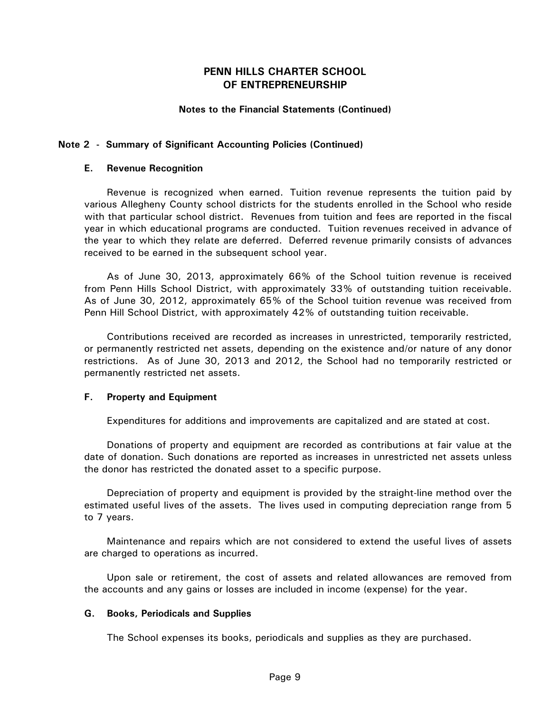### **Notes to the Financial Statements (Continued)**

### **Note 2 - Summary of Significant Accounting Policies (Continued)**

#### **E. Revenue Recognition**

Revenue is recognized when earned. Tuition revenue represents the tuition paid by various Allegheny County school districts for the students enrolled in the School who reside with that particular school district. Revenues from tuition and fees are reported in the fiscal year in which educational programs are conducted. Tuition revenues received in advance of the year to which they relate are deferred. Deferred revenue primarily consists of advances received to be earned in the subsequent school year.

As of June 30, 2013, approximately 66% of the School tuition revenue is received from Penn Hills School District, with approximately 33% of outstanding tuition receivable. As of June 30, 2012, approximately 65% of the School tuition revenue was received from Penn Hill School District, with approximately 42% of outstanding tuition receivable.

Contributions received are recorded as increases in unrestricted, temporarily restricted, or permanently restricted net assets, depending on the existence and/or nature of any donor restrictions. As of June 30, 2013 and 2012, the School had no temporarily restricted or permanently restricted net assets.

### **F. Property and Equipment**

Expenditures for additions and improvements are capitalized and are stated at cost.

Donations of property and equipment are recorded as contributions at fair value at the date of donation. Such donations are reported as increases in unrestricted net assets unless the donor has restricted the donated asset to a specific purpose.

Depreciation of property and equipment is provided by the straight-line method over the estimated useful lives of the assets. The lives used in computing depreciation range from 5 to 7 years.

Maintenance and repairs which are not considered to extend the useful lives of assets are charged to operations as incurred.

Upon sale or retirement, the cost of assets and related allowances are removed from the accounts and any gains or losses are included in income (expense) for the year.

#### **G. Books, Periodicals and Supplies**

The School expenses its books, periodicals and supplies as they are purchased.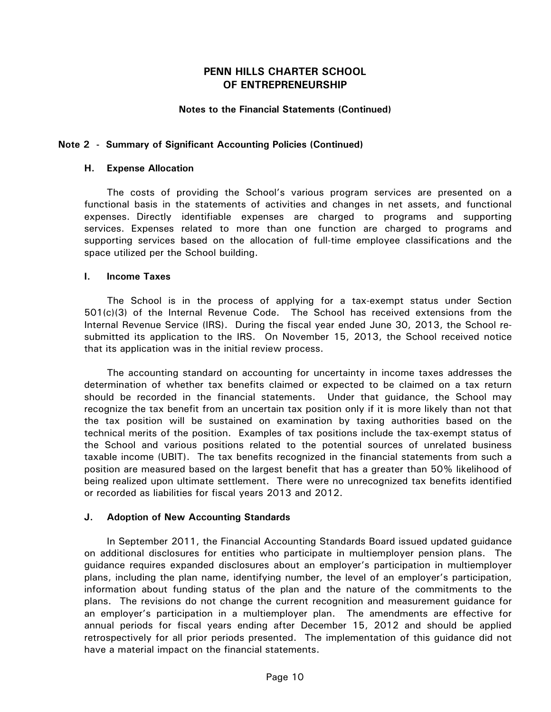### **Notes to the Financial Statements (Continued)**

### **Note 2 - Summary of Significant Accounting Policies (Continued)**

#### **H. Expense Allocation**

The costs of providing the School's various program services are presented on a functional basis in the statements of activities and changes in net assets, and functional expenses. Directly identifiable expenses are charged to programs and supporting services. Expenses related to more than one function are charged to programs and supporting services based on the allocation of full-time employee classifications and the space utilized per the School building.

#### **I. Income Taxes**

The School is in the process of applying for a tax-exempt status under Section 501(c)(3) of the Internal Revenue Code. The School has received extensions from the Internal Revenue Service (IRS). During the fiscal year ended June 30, 2013, the School resubmitted its application to the IRS. On November 15, 2013, the School received notice that its application was in the initial review process.

The accounting standard on accounting for uncertainty in income taxes addresses the determination of whether tax benefits claimed or expected to be claimed on a tax return should be recorded in the financial statements. Under that guidance, the School may recognize the tax benefit from an uncertain tax position only if it is more likely than not that the tax position will be sustained on examination by taxing authorities based on the technical merits of the position. Examples of tax positions include the tax-exempt status of the School and various positions related to the potential sources of unrelated business taxable income (UBIT). The tax benefits recognized in the financial statements from such a position are measured based on the largest benefit that has a greater than 50% likelihood of being realized upon ultimate settlement. There were no unrecognized tax benefits identified or recorded as liabilities for fiscal years 2013 and 2012.

### **J. Adoption of New Accounting Standards**

In September 2011, the Financial Accounting Standards Board issued updated guidance on additional disclosures for entities who participate in multiemployer pension plans. The guidance requires expanded disclosures about an employer's participation in multiemployer plans, including the plan name, identifying number, the level of an employer's participation, information about funding status of the plan and the nature of the commitments to the plans. The revisions do not change the current recognition and measurement guidance for an employer's participation in a multiemployer plan. The amendments are effective for annual periods for fiscal years ending after December 15, 2012 and should be applied retrospectively for all prior periods presented. The implementation of this guidance did not have a material impact on the financial statements.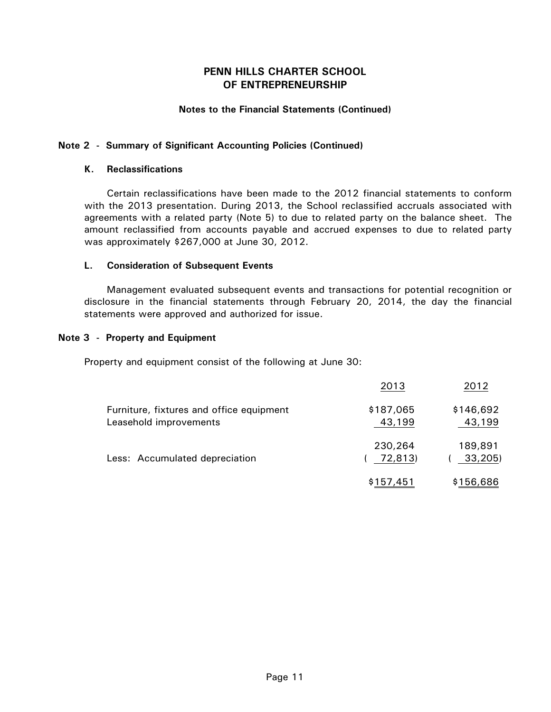## **Notes to the Financial Statements (Continued)**

### **Note 2 - Summary of Significant Accounting Policies (Continued)**

#### **K. Reclassifications**

Certain reclassifications have been made to the 2012 financial statements to conform with the 2013 presentation. During 2013, the School reclassified accruals associated with agreements with a related party (Note 5) to due to related party on the balance sheet. The amount reclassified from accounts payable and accrued expenses to due to related party was approximately \$267,000 at June 30, 2012.

#### **L. Consideration of Subsequent Events**

Management evaluated subsequent events and transactions for potential recognition or disclosure in the financial statements through February 20, 2014, the day the financial statements were approved and authorized for issue.

#### **Note 3 - Property and Equipment**

Property and equipment consist of the following at June 30:

|                                          | 2013                | 2012              |
|------------------------------------------|---------------------|-------------------|
| Furniture, fixtures and office equipment | \$187,065<br>43,199 | \$146,692         |
| Leasehold improvements                   | 230,264             | 43,199<br>189,891 |
| Less: Accumulated depreciation           | 72,813)             | 33,205            |
|                                          | \$157,451           | \$156,686         |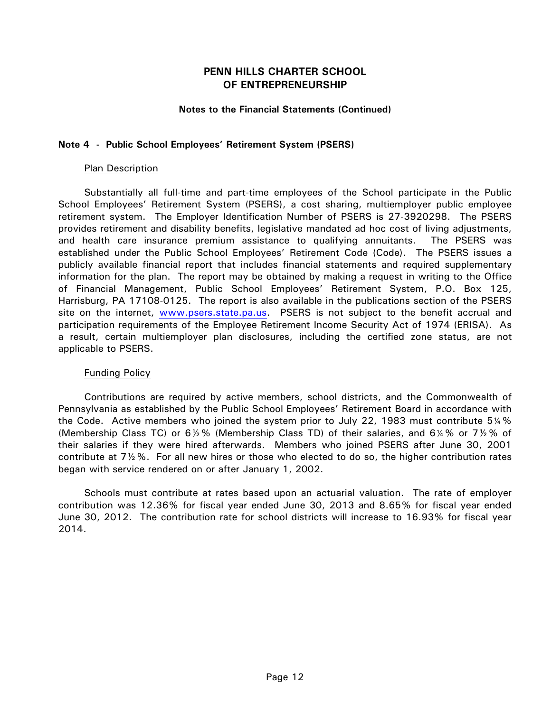### **Notes to the Financial Statements (Continued)**

### **Note 4 - Public School Employees' Retirement System (PSERS)**

### Plan Description

Substantially all full-time and part-time employees of the School participate in the Public School Employees' Retirement System (PSERS), a cost sharing, multiemployer public employee retirement system. The Employer Identification Number of PSERS is 27-3920298. The PSERS provides retirement and disability benefits, legislative mandated ad hoc cost of living adjustments, and health care insurance premium assistance to qualifying annuitants. The PSERS was established under the Public School Employees' Retirement Code (Code). The PSERS issues a publicly available financial report that includes financial statements and required supplementary information for the plan. The report may be obtained by making a request in writing to the Office of Financial Management, Public School Employees' Retirement System, P.O. Box 125, Harrisburg, PA 17108-0125. The report is also available in the publications section of the PSERS site on the internet, www.psers.state.pa.us. PSERS is not subject to the benefit accrual and participation requirements of the Employee Retirement Income Security Act of 1974 (ERISA). As a result, certain multiemployer plan disclosures, including the certified zone status, are not applicable to PSERS.

### Funding Policy

Contributions are required by active members, school districts, and the Commonwealth of Pennsylvania as established by the Public School Employees' Retirement Board in accordance with the Code. Active members who joined the system prior to July 22, 1983 must contribute  $5\%$ % (Membership Class TC) or 6½% (Membership Class TD) of their salaries, and 6¼% or 7½% of their salaries if they were hired afterwards. Members who joined PSERS after June 30, 2001 contribute at  $7\frac{1}{2}\%$ . For all new hires or those who elected to do so, the higher contribution rates began with service rendered on or after January 1, 2002.

Schools must contribute at rates based upon an actuarial valuation. The rate of employer contribution was 12.36% for fiscal year ended June 30, 2013 and 8.65% for fiscal year ended June 30, 2012. The contribution rate for school districts will increase to 16.93% for fiscal year 2014.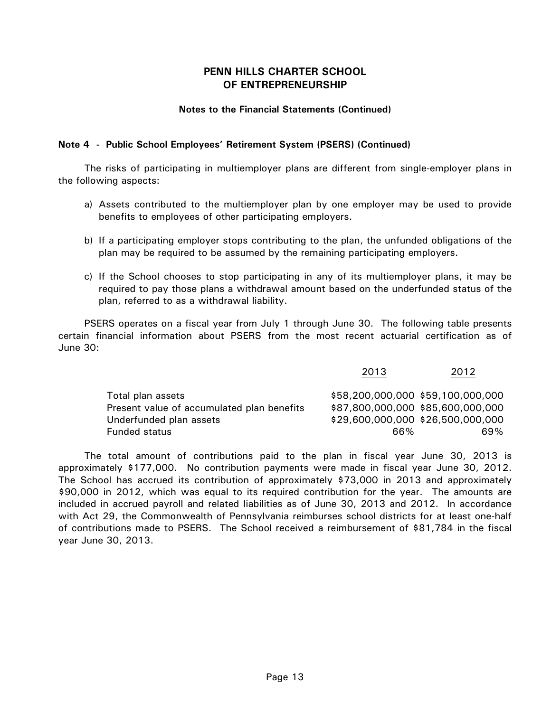## **Notes to the Financial Statements (Continued)**

### **Note 4 - Public School Employees' Retirement System (PSERS) (Continued)**

The risks of participating in multiemployer plans are different from single-employer plans in the following aspects:

- a) Assets contributed to the multiemployer plan by one employer may be used to provide benefits to employees of other participating employers.
- b) If a participating employer stops contributing to the plan, the unfunded obligations of the plan may be required to be assumed by the remaining participating employers.
- c) If the School chooses to stop participating in any of its multiemployer plans, it may be required to pay those plans a withdrawal amount based on the underfunded status of the plan, referred to as a withdrawal liability.

PSERS operates on a fiscal year from July 1 through June 30. The following table presents certain financial information about PSERS from the most recent actuarial certification as of June 30:

|                                            | 2013 | 2012                              |
|--------------------------------------------|------|-----------------------------------|
| Total plan assets                          |      | \$58,200,000,000 \$59,100,000,000 |
| Present value of accumulated plan benefits |      | \$87,800,000,000 \$85,600,000,000 |
| Underfunded plan assets                    |      | \$29,600,000,000 \$26,500,000,000 |
| <b>Funded status</b>                       | 66%  | 69%                               |

The total amount of contributions paid to the plan in fiscal year June 30, 2013 is approximately \$177,000. No contribution payments were made in fiscal year June 30, 2012. The School has accrued its contribution of approximately \$73,000 in 2013 and approximately \$90,000 in 2012, which was equal to its required contribution for the year. The amounts are included in accrued payroll and related liabilities as of June 30, 2013 and 2012. In accordance with Act 29, the Commonwealth of Pennsylvania reimburses school districts for at least one-half of contributions made to PSERS. The School received a reimbursement of \$81,784 in the fiscal year June 30, 2013.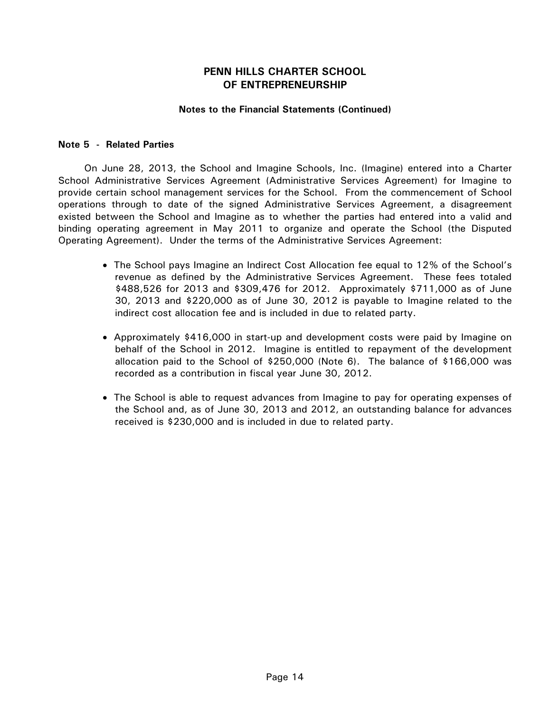### **Notes to the Financial Statements (Continued)**

### **Note 5 - Related Parties**

On June 28, 2013, the School and Imagine Schools, Inc. (Imagine) entered into a Charter School Administrative Services Agreement (Administrative Services Agreement) for Imagine to provide certain school management services for the School. From the commencement of School operations through to date of the signed Administrative Services Agreement, a disagreement existed between the School and Imagine as to whether the parties had entered into a valid and binding operating agreement in May 2011 to organize and operate the School (the Disputed Operating Agreement). Under the terms of the Administrative Services Agreement:

- The School pays Imagine an Indirect Cost Allocation fee equal to 12% of the School's revenue as defined by the Administrative Services Agreement. These fees totaled \$488,526 for 2013 and \$309,476 for 2012. Approximately \$711,000 as of June 30, 2013 and \$220,000 as of June 30, 2012 is payable to Imagine related to the indirect cost allocation fee and is included in due to related party.
- Approximately \$416,000 in start-up and development costs were paid by Imagine on behalf of the School in 2012. Imagine is entitled to repayment of the development allocation paid to the School of \$250,000 (Note 6). The balance of \$166,000 was recorded as a contribution in fiscal year June 30, 2012.
- The School is able to request advances from Imagine to pay for operating expenses of the School and, as of June 30, 2013 and 2012, an outstanding balance for advances received is \$230,000 and is included in due to related party.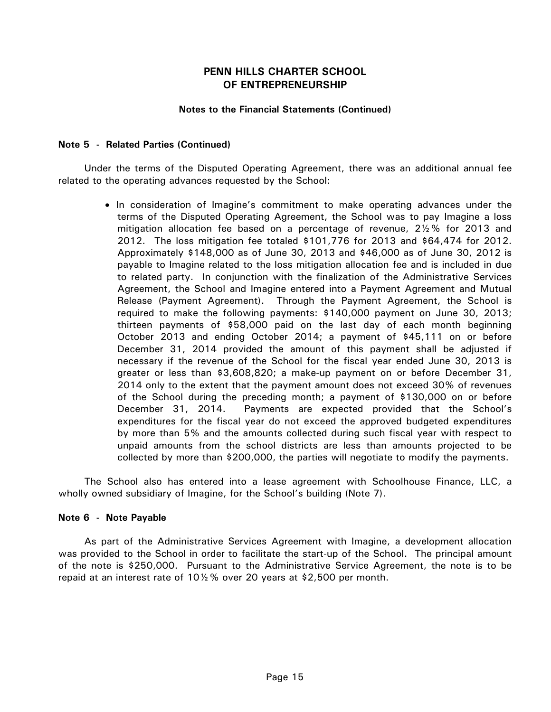### **Notes to the Financial Statements (Continued)**

#### **Note 5 - Related Parties (Continued)**

Under the terms of the Disputed Operating Agreement, there was an additional annual fee related to the operating advances requested by the School:

• In consideration of Imagine's commitment to make operating advances under the terms of the Disputed Operating Agreement, the School was to pay Imagine a loss mitigation allocation fee based on a percentage of revenue, 2½% for 2013 and 2012. The loss mitigation fee totaled \$101,776 for 2013 and \$64,474 for 2012. Approximately \$148,000 as of June 30, 2013 and \$46,000 as of June 30, 2012 is payable to Imagine related to the loss mitigation allocation fee and is included in due to related party. In conjunction with the finalization of the Administrative Services Agreement, the School and Imagine entered into a Payment Agreement and Mutual Release (Payment Agreement). Through the Payment Agreement, the School is required to make the following payments: \$140,000 payment on June 30, 2013; thirteen payments of \$58,000 paid on the last day of each month beginning October 2013 and ending October 2014; a payment of \$45,111 on or before December 31, 2014 provided the amount of this payment shall be adjusted if necessary if the revenue of the School for the fiscal year ended June 30, 2013 is greater or less than \$3,608,820; a make-up payment on or before December 31, 2014 only to the extent that the payment amount does not exceed 30% of revenues of the School during the preceding month; a payment of \$130,000 on or before December 31, 2014. Payments are expected provided that the School's expenditures for the fiscal year do not exceed the approved budgeted expenditures by more than 5% and the amounts collected during such fiscal year with respect to unpaid amounts from the school districts are less than amounts projected to be collected by more than \$200,000, the parties will negotiate to modify the payments.

The School also has entered into a lease agreement with Schoolhouse Finance, LLC, a wholly owned subsidiary of Imagine, for the School's building (Note 7).

### **Note 6 - Note Payable**

As part of the Administrative Services Agreement with Imagine, a development allocation was provided to the School in order to facilitate the start-up of the School. The principal amount of the note is \$250,000. Pursuant to the Administrative Service Agreement, the note is to be repaid at an interest rate of 10½% over 20 years at \$2,500 per month.